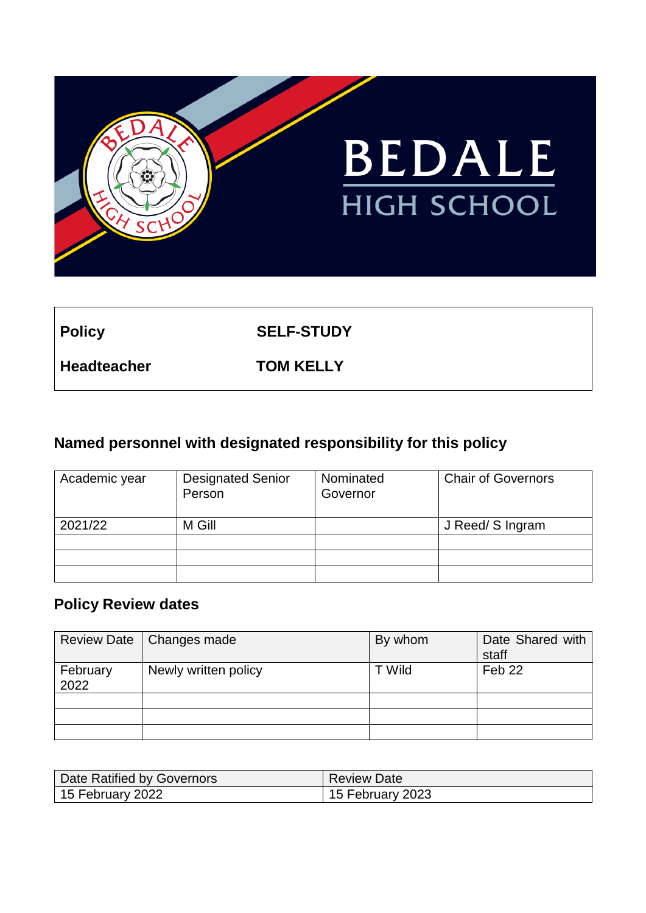

**Policy SELF-STUDY**

**Headteacher TOM KELLY**

# **Named personnel with designated responsibility for this policy**

| Academic year | <b>Designated Senior</b><br>Person | Nominated<br>Governor | <b>Chair of Governors</b> |
|---------------|------------------------------------|-----------------------|---------------------------|
| 2021/22       | M Gill                             |                       | J Reed/ S Ingram          |
|               |                                    |                       |                           |
|               |                                    |                       |                           |
|               |                                    |                       |                           |

## **Policy Review dates**

|                  | Review Date   Changes made | By whom | Date Shared with<br>staff |
|------------------|----------------------------|---------|---------------------------|
| February<br>2022 | Newly written policy       | T Wild  | Feb 22                    |
|                  |                            |         |                           |
|                  |                            |         |                           |
|                  |                            |         |                           |

| Date Ratified by Governors | <b>Review Date</b> |
|----------------------------|--------------------|
| 15 February 2022           | 15 February 2023   |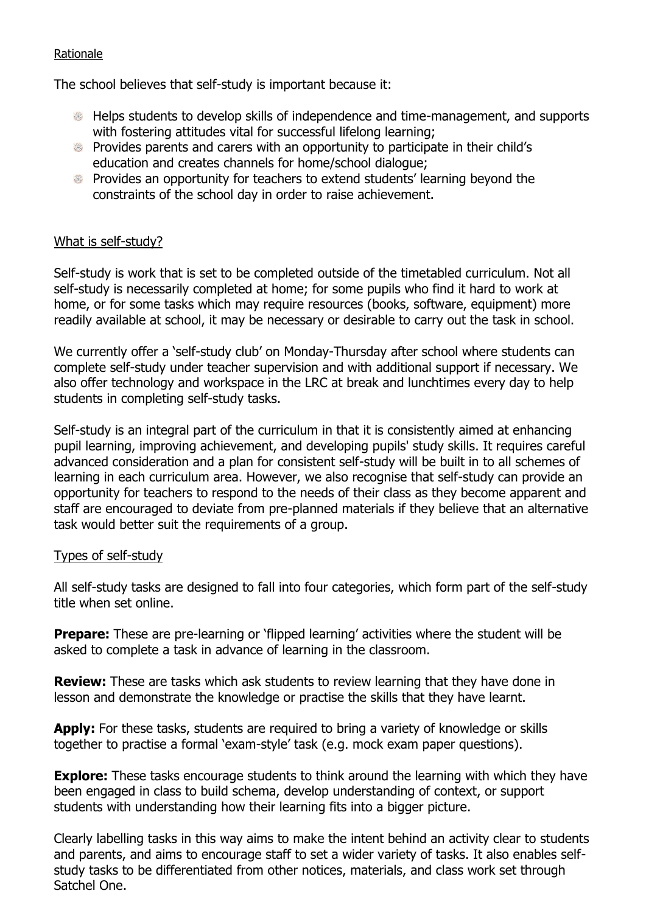#### Rationale

The school believes that self-study is important because it:

- Helps students to develop skills of independence and time-management, and supports with fostering attitudes vital for successful lifelong learning;
- Provides parents and carers with an opportunity to participate in their child's education and creates channels for home/school dialogue;
- Provides an opportunity for teachers to extend students' learning beyond the constraints of the school day in order to raise achievement.

## What is self-study?

Self-study is work that is set to be completed outside of the timetabled curriculum. Not all self-study is necessarily completed at home; for some pupils who find it hard to work at home, or for some tasks which may require resources (books, software, equipment) more readily available at school, it may be necessary or desirable to carry out the task in school.

We currently offer a 'self-study club' on Monday-Thursday after school where students can complete self-study under teacher supervision and with additional support if necessary. We also offer technology and workspace in the LRC at break and lunchtimes every day to help students in completing self-study tasks.

Self-study is an integral part of the curriculum in that it is consistently aimed at enhancing pupil learning, improving achievement, and developing pupils' study skills. It requires careful advanced consideration and a plan for consistent self-study will be built in to all schemes of learning in each curriculum area. However, we also recognise that self-study can provide an opportunity for teachers to respond to the needs of their class as they become apparent and staff are encouraged to deviate from pre-planned materials if they believe that an alternative task would better suit the requirements of a group.

## Types of self-study

All self-study tasks are designed to fall into four categories, which form part of the self-study title when set online.

**Prepare:** These are pre-learning or 'flipped learning' activities where the student will be asked to complete a task in advance of learning in the classroom.

**Review:** These are tasks which ask students to review learning that they have done in lesson and demonstrate the knowledge or practise the skills that they have learnt.

Apply: For these tasks, students are required to bring a variety of knowledge or skills together to practise a formal 'exam-style' task (e.g. mock exam paper questions).

**Explore:** These tasks encourage students to think around the learning with which they have been engaged in class to build schema, develop understanding of context, or support students with understanding how their learning fits into a bigger picture.

Clearly labelling tasks in this way aims to make the intent behind an activity clear to students and parents, and aims to encourage staff to set a wider variety of tasks. It also enables selfstudy tasks to be differentiated from other notices, materials, and class work set through Satchel One.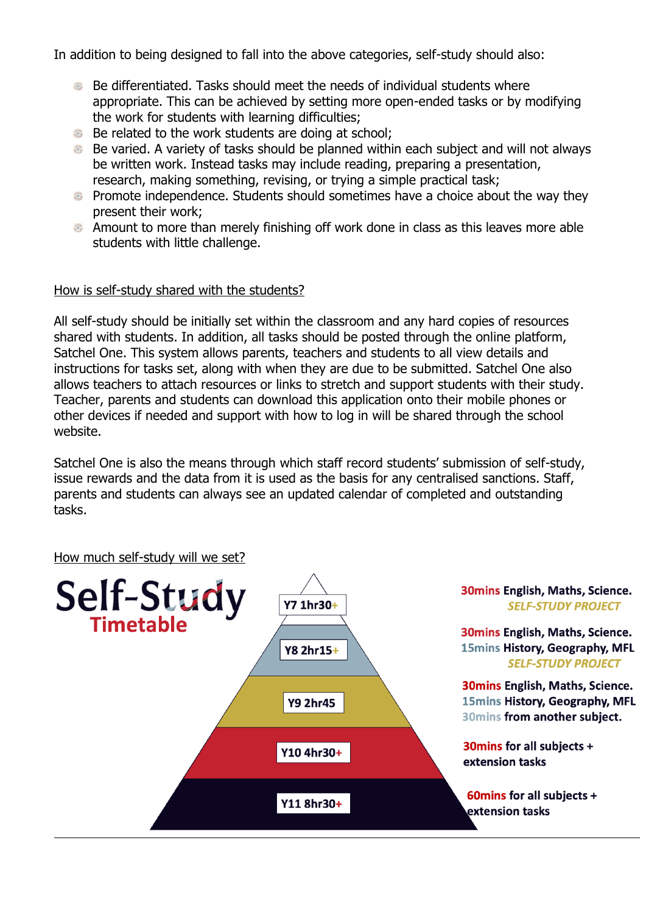In addition to being designed to fall into the above categories, self-study should also:

- Be differentiated. Tasks should meet the needs of individual students where appropriate. This can be achieved by setting more open-ended tasks or by modifying the work for students with learning difficulties;
- Be related to the work students are doing at school:
- Be varied. A variety of tasks should be planned within each subject and will not always be written work. Instead tasks may include reading, preparing a presentation, research, making something, revising, or trying a simple practical task;
- Promote independence. Students should sometimes have a choice about the way they present their work;
- Amount to more than merely finishing off work done in class as this leaves more able students with little challenge.

## How is self-study shared with the students?

All self-study should be initially set within the classroom and any hard copies of resources shared with students. In addition, all tasks should be posted through the online platform, Satchel One. This system allows parents, teachers and students to all view details and instructions for tasks set, along with when they are due to be submitted. Satchel One also allows teachers to attach resources or links to stretch and support students with their study. Teacher, parents and students can download this application onto their mobile phones or other devices if needed and support with how to log in will be shared through the school website.

Satchel One is also the means through which staff record students' submission of self-study, issue rewards and the data from it is used as the basis for any centralised sanctions. Staff, parents and students can always see an updated calendar of completed and outstanding tasks.

#### How much self-study will we set?

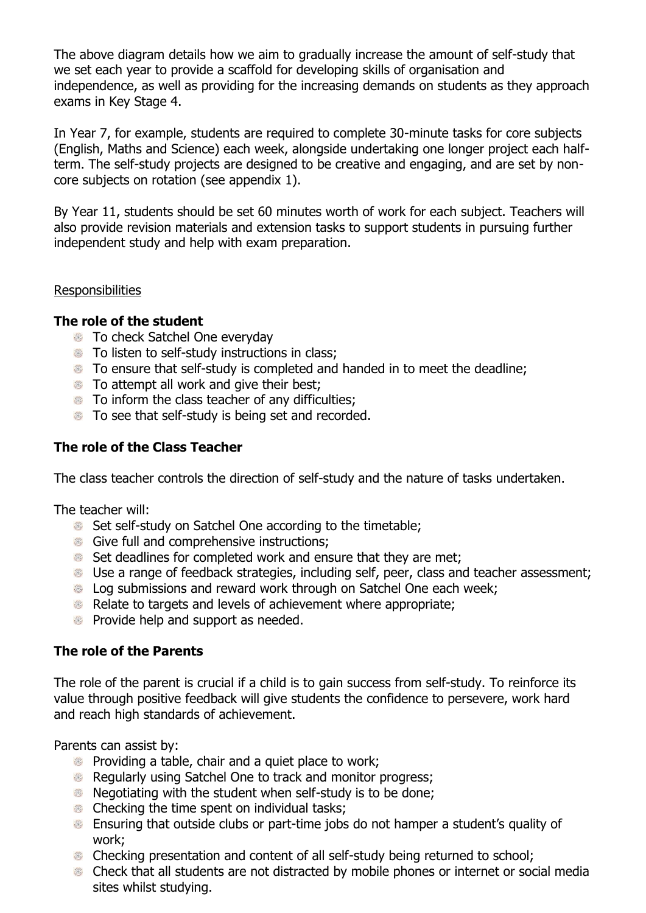The above diagram details how we aim to gradually increase the amount of self-study that we set each year to provide a scaffold for developing skills of organisation and independence, as well as providing for the increasing demands on students as they approach exams in Key Stage 4.

In Year 7, for example, students are required to complete 30-minute tasks for core subjects (English, Maths and Science) each week, alongside undertaking one longer project each halfterm. The self-study projects are designed to be creative and engaging, and are set by noncore subjects on rotation (see appendix 1).

By Year 11, students should be set 60 minutes worth of work for each subject. Teachers will also provide revision materials and extension tasks to support students in pursuing further independent study and help with exam preparation.

#### **Responsibilities**

## **The role of the student**

- **To check Satchel One everyday**
- To listen to self-study instructions in class;
- To ensure that self-study is completed and handed in to meet the deadline;
- **To attempt all work and give their best;**
- $\bullet$  To inform the class teacher of any difficulties:
- To see that self-study is being set and recorded.

## **The role of the Class Teacher**

The class teacher controls the direction of self-study and the nature of tasks undertaken.

The teacher will:

- Set self-study on Satchel One according to the timetable:
- Give full and comprehensive instructions;
- Set deadlines for completed work and ensure that they are met;
- Use a range of feedback strategies, including self, peer, class and teacher assessment;
- **EXECUTE:** Log submissions and reward work through on Satchel One each week;
- Relate to targets and levels of achievement where appropriate;
- **Provide help and support as needed.**

## **The role of the Parents**

The role of the parent is crucial if a child is to gain success from self-study. To reinforce its value through positive feedback will give students the confidence to persevere, work hard and reach high standards of achievement.

Parents can assist by:

- **Providing a table, chair and a quiet place to work;**
- Regularly using Satchel One to track and monitor progress;
- **Negotiating with the student when self-study is to be done;**
- **Checking the time spent on individual tasks;**
- Ensuring that outside clubs or part-time jobs do not hamper a student's quality of work;
- Checking presentation and content of all self-study being returned to school;
- Check that all students are not distracted by mobile phones or internet or social media sites whilst studying.